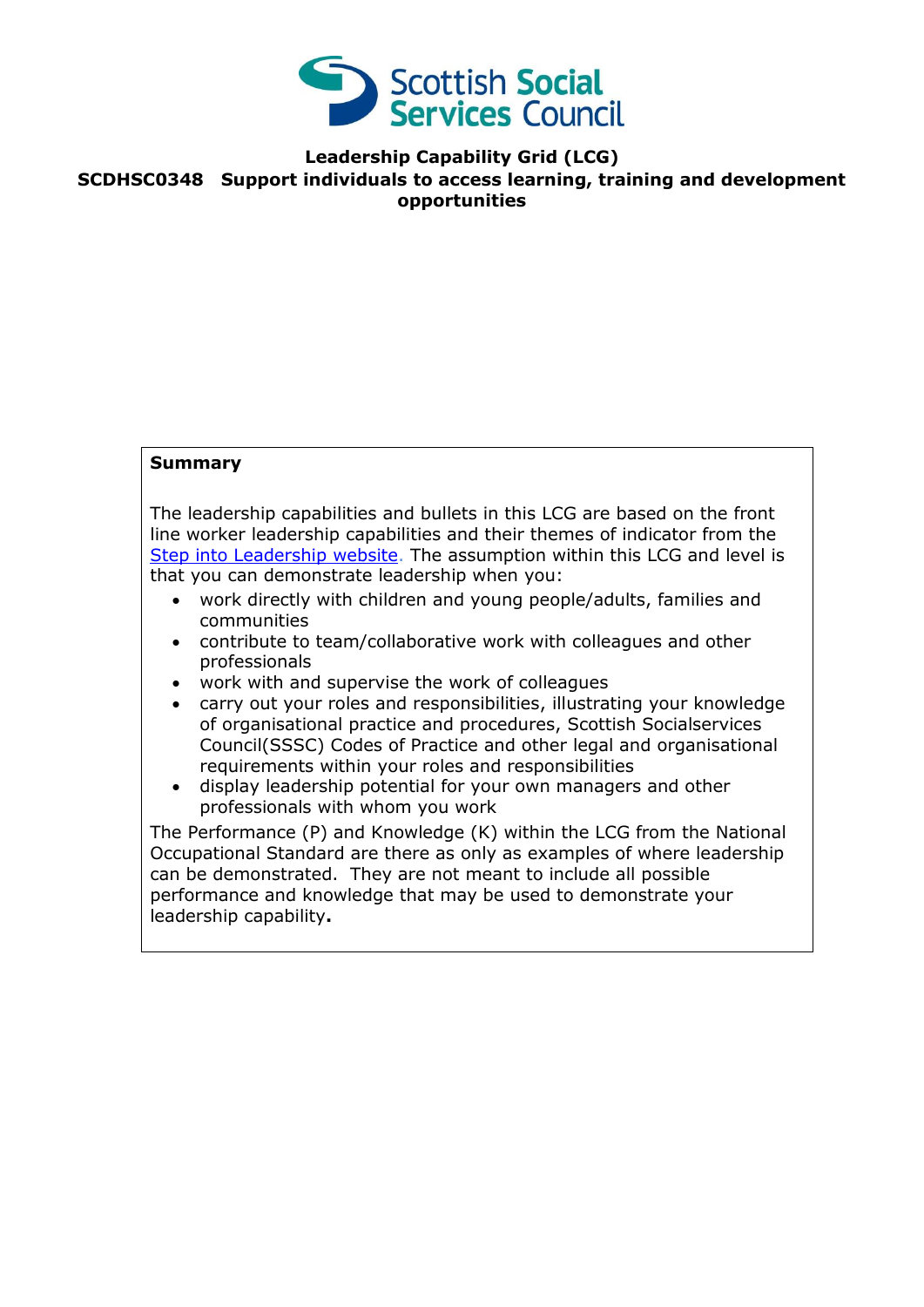

## **Leadership Capability Grid (LCG) SCDHSC0348 Support individuals to access learning, training and development opportunities**

## **Summary**

The leadership capabilities and bullets in this LCG are based on the front line worker leadership capabilities and their themes of indicator from the [Step into Leadership website.](http://www.stepintoleadership.info/) The assumption within this LCG and level is that you can demonstrate leadership when you:

- work directly with children and young people/adults, families and communities
- contribute to team/collaborative work with colleagues and other professionals
- work with and supervise the work of colleagues
- carry out your roles and responsibilities, illustrating your knowledge of organisational practice and procedures, Scottish Socialservices Council(SSSC) Codes of Practice and other legal and organisational requirements within your roles and responsibilities
- display leadership potential for your own managers and other professionals with whom you work

The Performance (P) and Knowledge (K) within the LCG from the National Occupational Standard are there as only as examples of where leadership can be demonstrated. They are not meant to include all possible performance and knowledge that may be used to demonstrate your leadership capability**.**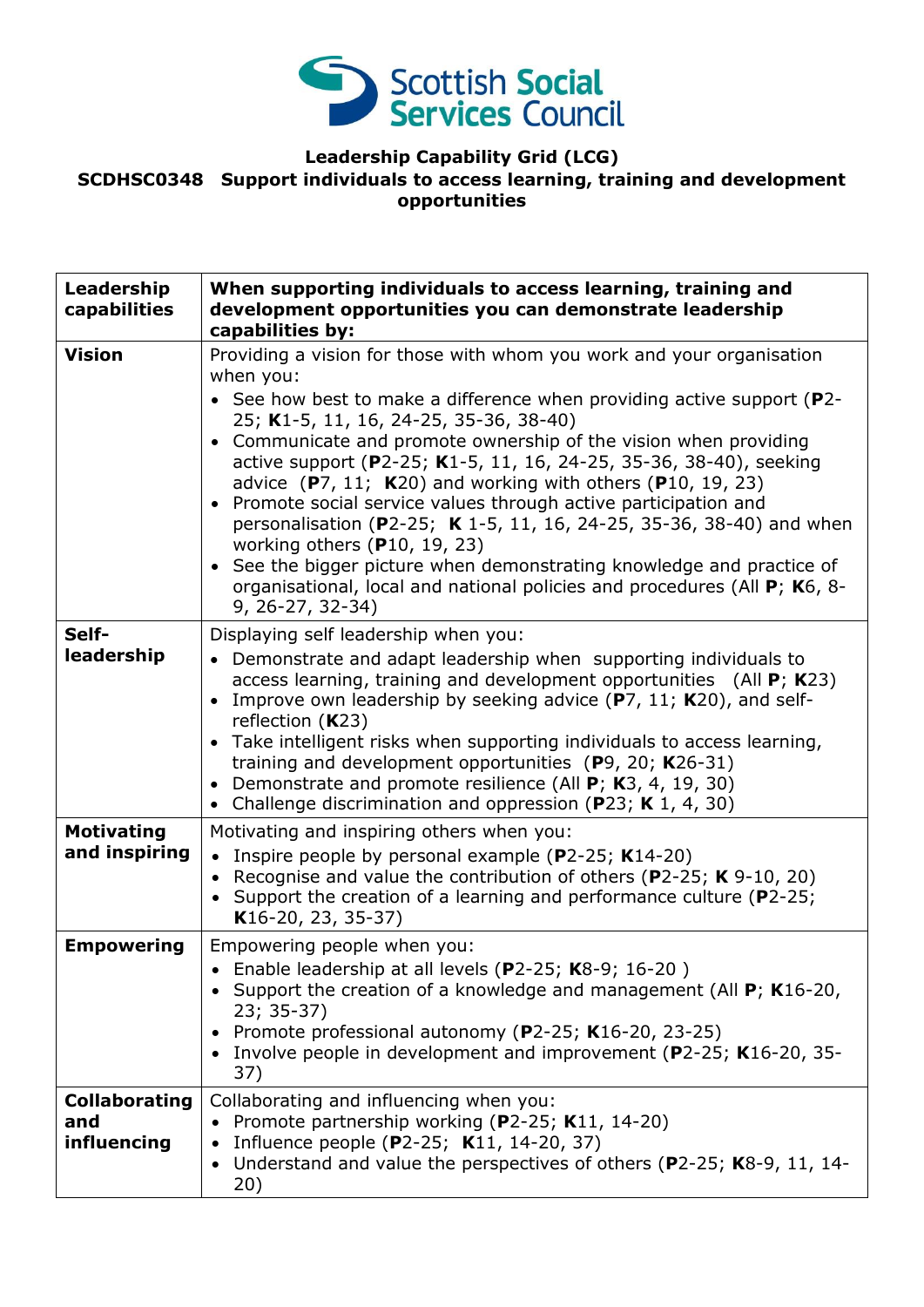

# **Leadership Capability Grid (LCG)**

## **SCDHSC0348 Support individuals to access learning, training and development opportunities**

| Leadership<br>capabilities          | When supporting individuals to access learning, training and<br>development opportunities you can demonstrate leadership<br>capabilities by:                                                                                                                                                                                                                                                                                                                                                                                                                                                                                                                                                                                                                                   |
|-------------------------------------|--------------------------------------------------------------------------------------------------------------------------------------------------------------------------------------------------------------------------------------------------------------------------------------------------------------------------------------------------------------------------------------------------------------------------------------------------------------------------------------------------------------------------------------------------------------------------------------------------------------------------------------------------------------------------------------------------------------------------------------------------------------------------------|
| <b>Vision</b>                       | Providing a vision for those with whom you work and your organisation<br>when you:<br>• See how best to make a difference when providing active support (P2-<br>25; K1-5, 11, 16, 24-25, 35-36, 38-40)<br>• Communicate and promote ownership of the vision when providing<br>active support (P2-25; K1-5, 11, 16, 24-25, 35-36, 38-40), seeking<br>advice $(P7, 11; K20)$ and working with others $(P10, 19, 23)$<br>Promote social service values through active participation and<br>personalisation (P2-25; K 1-5, 11, 16, 24-25, 35-36, 38-40) and when<br>working others $(P10, 19, 23)$<br>• See the bigger picture when demonstrating knowledge and practice of<br>organisational, local and national policies and procedures (All P; K6, 8-<br>$9, 26 - 27, 32 - 34)$ |
| Self-<br>leadership                 | Displaying self leadership when you:<br>• Demonstrate and adapt leadership when supporting individuals to<br>access learning, training and development opportunities (All P; K23)<br>Improve own leadership by seeking advice (P7, 11; K20), and self-<br>reflection $(K23)$<br>Take intelligent risks when supporting individuals to access learning,<br>$\bullet$<br>training and development opportunities ( $P$ 9, 20; K26-31)<br>Demonstrate and promote resilience (All P; K3, 4, 19, 30)<br>Challenge discrimination and oppression (P23; K 1, 4, 30)                                                                                                                                                                                                                   |
| <b>Motivating</b><br>and inspiring  | Motivating and inspiring others when you:<br>• Inspire people by personal example ( $P2-25$ ; K14-20)<br>• Recognise and value the contribution of others (P2-25; K 9-10, 20)<br>Support the creation of a learning and performance culture (P2-25;<br>$K16-20, 23, 35-37)$                                                                                                                                                                                                                                                                                                                                                                                                                                                                                                    |
| <b>Empowering</b>                   | Empowering people when you:<br>Enable leadership at all levels (P2-25; K8-9; 16-20)<br>Support the creation of a knowledge and management (All $P$ ; K16-20,<br>23; 35-37)<br>• Promote professional autonomy (P2-25; K16-20, 23-25)<br>• Involve people in development and improvement (P2-25; K16-20, 35-<br>37)                                                                                                                                                                                                                                                                                                                                                                                                                                                             |
| Collaborating<br>and<br>influencing | Collaborating and influencing when you:<br>• Promote partnership working ( $P2-25$ ; K11, 14-20)<br>Influence people (P2-25; K11, 14-20, 37)<br>• Understand and value the perspectives of others (P2-25; K8-9, 11, 14-<br>20)                                                                                                                                                                                                                                                                                                                                                                                                                                                                                                                                                 |